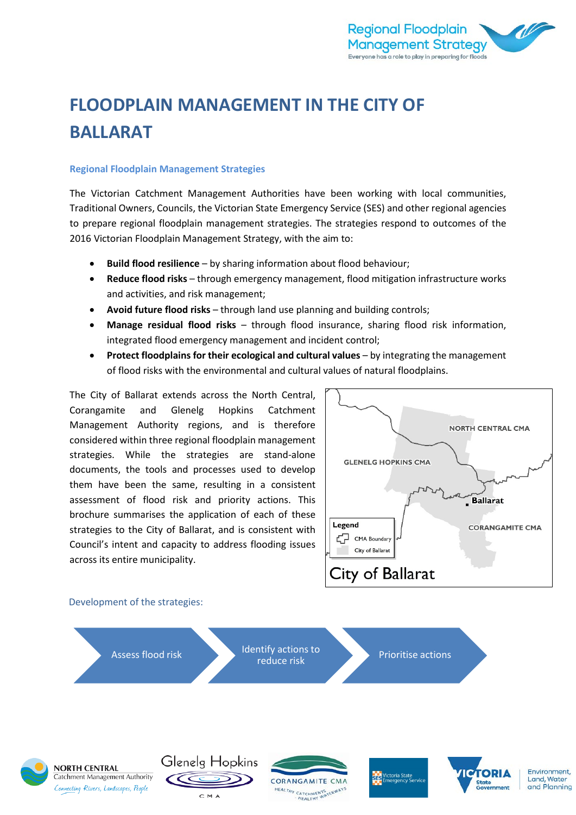

# **FLOODPLAIN MANAGEMENT IN THE CITY OF BALLARAT**

#### **Regional Floodplain Management Strategies**

The Victorian Catchment Management Authorities have been working with local communities, Traditional Owners, Councils, the Victorian State Emergency Service (SES) and other regional agencies to prepare regional floodplain management strategies. The strategies respond to outcomes of the 2016 Victorian Floodplain Management Strategy, with the aim to:

- **Build flood resilience** by sharing information about flood behaviour;
- **Reduce flood risks** through emergency management, flood mitigation infrastructure works and activities, and risk management;
- **Avoid future flood risks** through land use planning and building controls;
- **Manage residual flood risks**  through flood insurance, sharing flood risk information, integrated flood emergency management and incident control;
- **Protect floodplains for their ecological and cultural values**  by integrating the management of flood risks with the environmental and cultural values of natural floodplains.

The City of Ballarat extends across the North Central, Corangamite and Glenelg Hopkins Catchment Management Authority regions, and is therefore considered within three regional floodplain management strategies. While the strategies are stand-alone documents, the tools and processes used to develop them have been the same, resulting in a consistent assessment of flood risk and priority actions. This brochure summarises the application of each of these strategies to the City of Ballarat, and is consistent with Council's intent and capacity to address flooding issues across its entire municipality.

CMA



Environment.

and Planning

Land, Water

## Assess flood risk Identify actions to **Prioritise actions** Glenelg Hopkins **NORTH CENTRAL CTORIA SES** Victoria State Catchment Management Authority **CORANGAMITE CMA** Connecting Rivers, Landscapes, People

HEALTHY CATCHMENTS TERWAYS

Development of the strategies: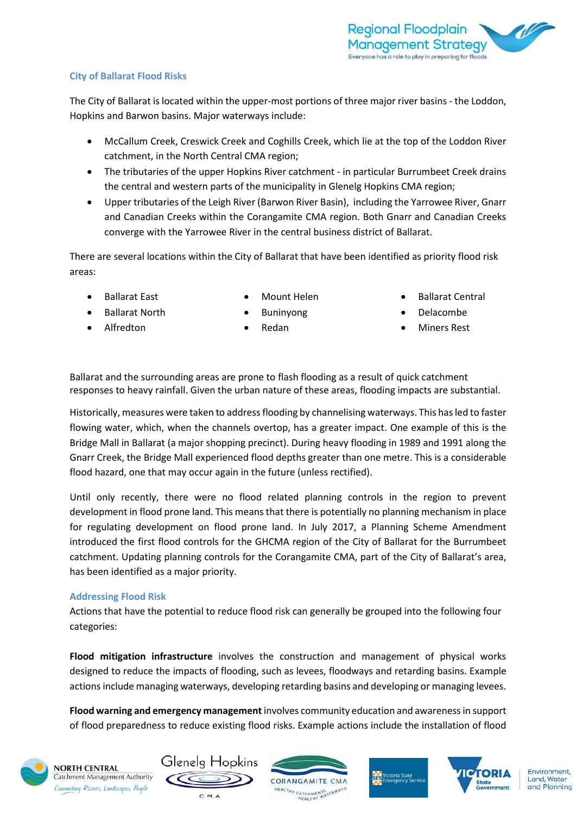#### **City of Ballarat Flood Risks**

The City of Ballarat is located within the upper-most portions of three major river basins - the Loddon, Hopkins and Barwon basins. Major waterways include:

- McCallum Creek, Creswick Creek and Coghills Creek, which lie at the top of the Loddon River catchment, in the North Central CMA region;
- The tributaries of the upper Hopkins River catchment in particular Burrumbeet Creek drains the central and western parts of the municipality in Glenelg Hopkins CMA region;
- Upper tributaries of the Leigh River (Barwon River Basin), including the Yarrowee River, Gnarr and Canadian Creeks within the Corangamite CMA region. Both Gnarr and Canadian Creeks converge with the Yarrowee River in the central business district of Ballarat.

There are several locations within the City of Ballarat that have been identified as priority flood risk areas:

• Ballarat East

- Mount Helen
- Ballarat Central

- Ballarat North
- **Buninyong** • Redan
- Delacombe
- Miners Rest

• Alfredton

Ballarat and the surrounding areas are prone to flash flooding as a result of quick catchment responses to heavy rainfall. Given the urban nature of these areas, flooding impacts are substantial.

Historically, measures were taken to address flooding by channelising waterways. This has led to faster flowing water, which, when the channels overtop, has a greater impact. One example of this is the Bridge Mall in Ballarat (a major shopping precinct). During heavy flooding in 1989 and 1991 along the Gnarr Creek, the Bridge Mall experienced flood depths greater than one metre. This is a considerable flood hazard, one that may occur again in the future (unless rectified).

Until only recently, there were no flood related planning controls in the region to prevent development in flood prone land. This means that there is potentially no planning mechanism in place for regulating development on flood prone land. In July 2017, a Planning Scheme Amendment introduced the first flood controls for the GHCMA region of the City of Ballarat for the Burrumbeet catchment. Updating planning controls for the Corangamite CMA, part of the City of Ballarat's area, has been identified as a major priority.

#### **Addressing Flood Risk**

Actions that have the potential to reduce flood risk can generally be grouped into the following four categories:

**Flood mitigation infrastructure** involves the construction and management of physical works designed to reduce the impacts of flooding, such as levees, floodways and retarding basins. Example actions include managing waterways, developing retarding basins and developing or managing levees.

**Flood warning and emergency management**involves community education and awareness in support of flood preparedness to reduce existing flood risks. Example actions include the installation of flood



**NORTH CENTRAL** Catchment Management Authority Connecting Rivers, Landscapes, People







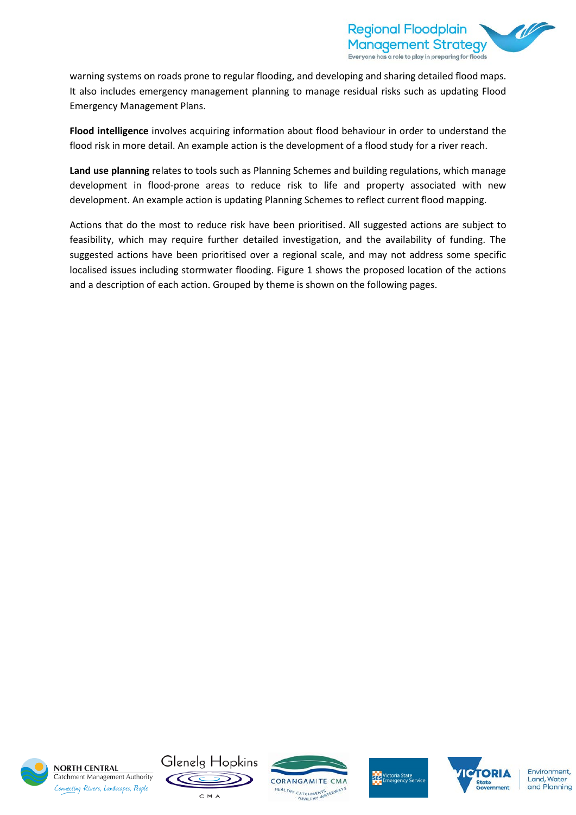

warning systems on roads prone to regular flooding, and developing and sharing detailed flood maps. It also includes emergency management planning to manage residual risks such as updating Flood Emergency Management Plans.

**Flood intelligence** involves acquiring information about flood behaviour in order to understand the flood risk in more detail. An example action is the development of a flood study for a river reach.

**Land use planning** relates to tools such as Planning Schemes and building regulations, which manage development in flood-prone areas to reduce risk to life and property associated with new development. An example action is updating Planning Schemes to reflect current flood mapping.

Actions that do the most to reduce risk have been prioritised. All suggested actions are subject to feasibility, which may require further detailed investigation, and the availability of funding. The suggested actions have been prioritised over a regional scale, and may not address some specific localised issues including stormwater flooding. Figure 1 shows the proposed location of the actions and a description of each action. Grouped by theme is shown on the following pages.



**NORTH CENTRAL** Catchment Management Authority Connecting Rivers, Landscapes, People









Environment. Land, Water and Planning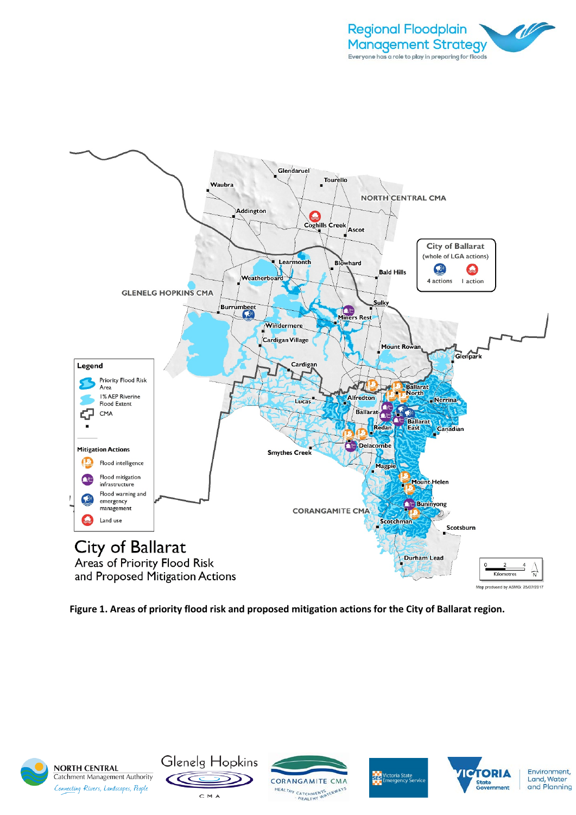



**Figure 1. Areas of priority flood risk and proposed mitigation actions for the City of Ballarat region.** 



**NORTH CENTRAL** Catchment Management Authority Connecting Rivers, Landscapes, People









Environment, Land, Water<br>and Planning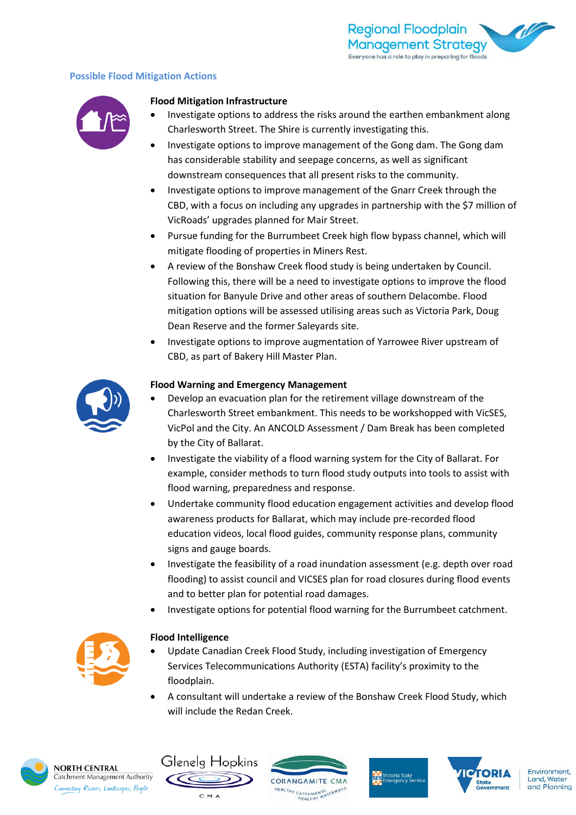#### **Possible Flood Mitigation Actions**



#### **Flood Mitigation Infrastructure**

- Investigate options to address the risks around the earthen embankment along Charlesworth Street. The Shire is currently investigating this.
- Investigate options to improve management of the Gong dam. The Gong dam has considerable stability and seepage concerns, as well as significant downstream consequences that all present risks to the community.
- Investigate options to improve management of the Gnarr Creek through the CBD, with a focus on including any upgrades in partnership with the \$7 million of VicRoads' upgrades planned for Mair Street.
- Pursue funding for the Burrumbeet Creek high flow bypass channel, which will mitigate flooding of properties in Miners Rest.
- A review of the Bonshaw Creek flood study is being undertaken by Council. Following this, there will be a need to investigate options to improve the flood situation for Banyule Drive and other areas of southern Delacombe. Flood mitigation options will be assessed utilising areas such as Victoria Park, Doug Dean Reserve and the former Saleyards site.
- Investigate options to improve augmentation of Yarrowee River upstream of CBD, as part of Bakery Hill Master Plan.



#### **Flood Warning and Emergency Management**

- Develop an evacuation plan for the retirement village downstream of the Charlesworth Street embankment. This needs to be workshopped with VicSES, VicPol and the City. An ANCOLD Assessment / Dam Break has been completed by the City of Ballarat.
- Investigate the viability of a flood warning system for the City of Ballarat. For example, consider methods to turn flood study outputs into tools to assist with flood warning, preparedness and response.
- Undertake community flood education engagement activities and develop flood awareness products for Ballarat, which may include pre-recorded flood education videos, local flood guides, community response plans, community signs and gauge boards.
- Investigate the feasibility of a road inundation assessment (e.g. depth over road flooding) to assist council and VICSES plan for road closures during flood events and to better plan for potential road damages.
- Investigate options for potential flood warning for the Burrumbeet catchment.



#### **Flood Intelligence**

- Update Canadian Creek Flood Study, including investigation of Emergency Services Telecommunications Authority (ESTA) facility's proximity to the floodplain.
- A consultant will undertake a review of the Bonshaw Creek Flood Study, which will include the Redan Creek.



**NORTH CENTRAL** Catchment Management Authority Connecting Rivers, Landscapes, People

Glenelg Hopkins

CMA